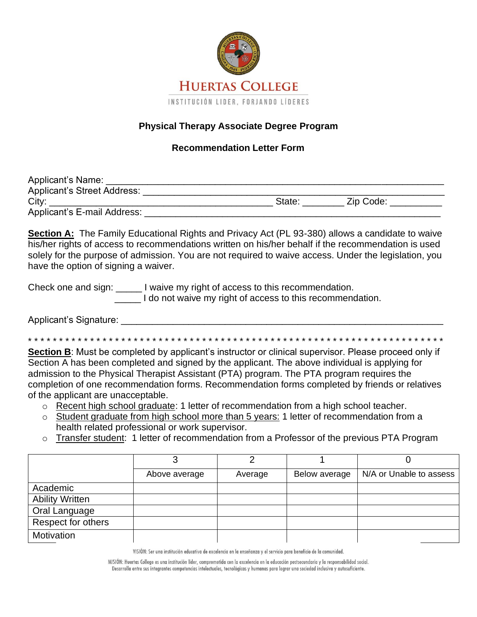

## **Physical Therapy Associate Degree Program**

## **Recommendation Letter Form**

| Applicant's Name:           |                     |  |
|-----------------------------|---------------------|--|
| Applicant's Street Address: |                     |  |
| City:                       | Zip Code:<br>State: |  |
| Applicant's E-mail Address: |                     |  |

**Section A:** The Family Educational Rights and Privacy Act (PL 93-380) allows a candidate to waive his/her rights of access to recommendations written on his/her behalf if the recommendation is used solely for the purpose of admission. You are not required to waive access. Under the legislation, you have the option of signing a waiver.

Check one and sign: I waive my right of access to this recommendation.

\_\_\_\_\_ I do not waive my right of access to this recommendation.

Applicant's Signature: **WebStart** 

\* \* \* \* \* \* \* \* \* \* \* \* \* \* \* \* \* \* \* \* \* \* \* \* \* \* \* \* \* \* \* \* \* \* \* \* \* \* \* \* \* \* \* \* \* \* \* \* \* \* \* \* \* \* \* \* \* \* \* \* \* \* \* \* \* \* \*

**Section B:** Must be completed by applicant's instructor or clinical supervisor. Please proceed only if Section A has been completed and signed by the applicant. The above individual is applying for admission to the Physical Therapist Assistant (PTA) program. The PTA program requires the completion of one recommendation forms. Recommendation forms completed by friends or relatives of the applicant are unacceptable.

- o Recent high school graduate: 1 letter of recommendation from a high school teacher.
- o Student graduate from high school more than 5 years: 1 letter of recommendation from a health related professional or work supervisor.
- o Transfer student: 1 letter of recommendation from a Professor of the previous PTA Program

|                        | Above average | Average | Below average | N/A or Unable to assess |
|------------------------|---------------|---------|---------------|-------------------------|
| Academic               |               |         |               |                         |
| <b>Ability Written</b> |               |         |               |                         |
| Oral Language          |               |         |               |                         |
| Respect for others     |               |         |               |                         |
| Motivation             |               |         |               |                         |

VISIÓN: Ser una institución educativa de excelencia en la enseñanza y el servicio para beneficio de la comunidad.

MISIÓN: Huertas College es una institución líder, comprometida con la excelencia en la educación postsecundaria y la responsabilidad social. Desarrolla entre sus integrantes competencias intelectuales, tecnológicas y humanas para lograr una sociedad inclusiva y autosuficiente.